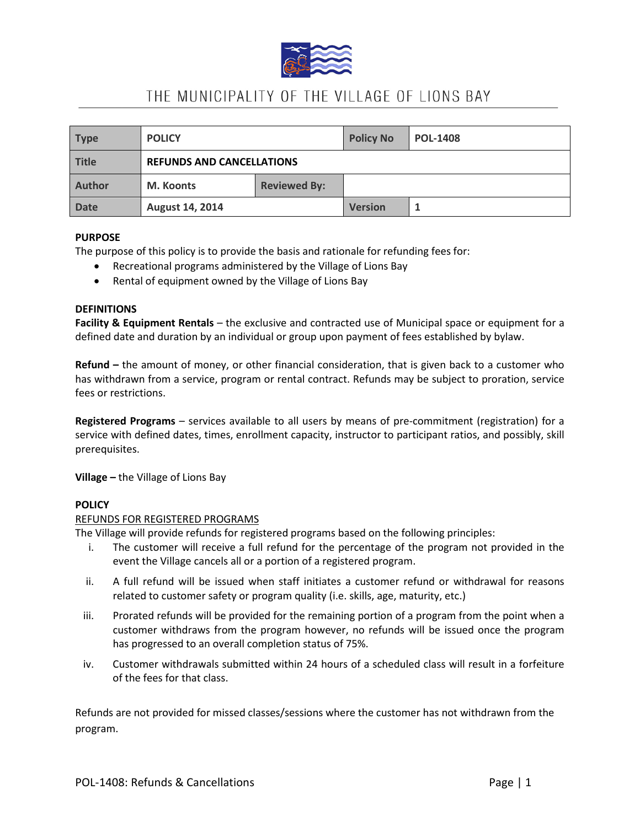

# THE MUNICIPALITY OF THE VILLAGE OF LIONS BAY

| <b>Type</b>   | <b>POLICY</b>                    |                     | <b>Policy No</b> | <b>POL-1408</b> |
|---------------|----------------------------------|---------------------|------------------|-----------------|
| Title         | <b>REFUNDS AND CANCELLATIONS</b> |                     |                  |                 |
| <b>Author</b> | M. Koonts                        | <b>Reviewed By:</b> |                  |                 |
| <b>Date</b>   | August 14, 2014                  |                     | <b>Version</b>   |                 |

## **PURPOSE**

The purpose of this policy is to provide the basis and rationale for refunding fees for:

- Recreational programs administered by the Village of Lions Bay
- Rental of equipment owned by the Village of Lions Bay

## **DEFINITIONS**

**Facility & Equipment Rentals** – the exclusive and contracted use of Municipal space or equipment for a defined date and duration by an individual or group upon payment of fees established by bylaw.

**Refund –** the amount of money, or other financial consideration, that is given back to a customer who has withdrawn from a service, program or rental contract. Refunds may be subject to proration, service fees or restrictions.

**Registered Programs** – services available to all users by means of pre-commitment (registration) for a service with defined dates, times, enrollment capacity, instructor to participant ratios, and possibly, skill prerequisites.

**Village –** the Village of Lions Bay

## **POLICY**

#### REFUNDS FOR REGISTERED PROGRAMS

The Village will provide refunds for registered programs based on the following principles:

- i. The customer will receive a full refund for the percentage of the program not provided in the event the Village cancels all or a portion of a registered program.
- ii. A full refund will be issued when staff initiates a customer refund or withdrawal for reasons related to customer safety or program quality (i.e. skills, age, maturity, etc.)
- iii. Prorated refunds will be provided for the remaining portion of a program from the point when a customer withdraws from the program however, no refunds will be issued once the program has progressed to an overall completion status of 75%.
- iv. Customer withdrawals submitted within 24 hours of a scheduled class will result in a forfeiture of the fees for that class.

Refunds are not provided for missed classes/sessions where the customer has not withdrawn from the program.